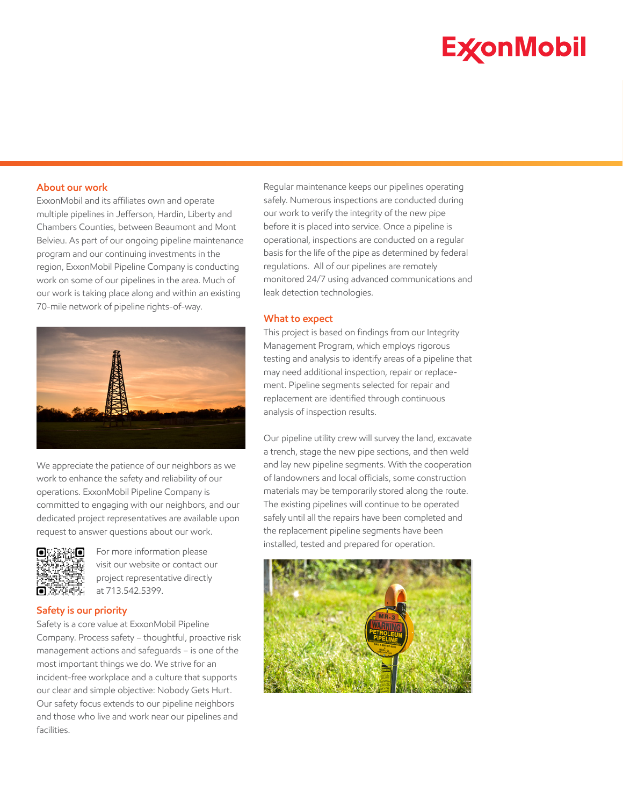# **ExconMobil**

# **About our work**

ExxonMobil and its affiliates own and operate multiple pipelines in Jefferson, Hardin, Liberty and Chambers Counties, between Beaumont and Mont Belvieu. As part of our ongoing pipeline maintenance program and our continuing investments in the region, ExxonMobil Pipeline Company is conducting work on some of our pipelines in the area. Much of our work is taking place along and within an existing 70-mile network of pipeline rights-of-way.



We appreciate the patience of our neighbors as we work to enhance the safety and reliability of our operations. ExxonMobil Pipeline Company is committed to engaging with our neighbors, and our dedicated project representatives are available upon request to answer questions about our work.



For more information please visit our website or contact our project representative directly at 713.542.5399.

# **Safety is our priority**

Safety is a core value at ExxonMobil Pipeline Company. Process safety – thoughtful, proactive risk management actions and safeguards – is one of the most important things we do. We strive for an incident-free workplace and a culture that supports our clear and simple objective: Nobody Gets Hurt. Our safety focus extends to our pipeline neighbors and those who live and work near our pipelines and facilities.

Regular maintenance keeps our pipelines operating safely. Numerous inspections are conducted during our work to verify the integrity of the new pipe before it is placed into service. Once a pipeline is operational, inspections are conducted on a regular basis for the life of the pipe as determined by federal regulations. All of our pipelines are remotely monitored 24/7 using advanced communications and leak detection technologies.

## **What to expect**

This project is based on findings from our Integrity Management Program, which employs rigorous testing and analysis to identify areas of a pipeline that may need additional inspection, repair or replacement. Pipeline segments selected for repair and replacement are identified through continuous analysis of inspection results.

Our pipeline utility crew will survey the land, excavate a trench, stage the new pipe sections, and then weld and lay new pipeline segments. With the cooperation of landowners and local officials, some construction materials may be temporarily stored along the route. The existing pipelines will continue to be operated safely until all the repairs have been completed and the replacement pipeline segments have been installed, tested and prepared for operation.